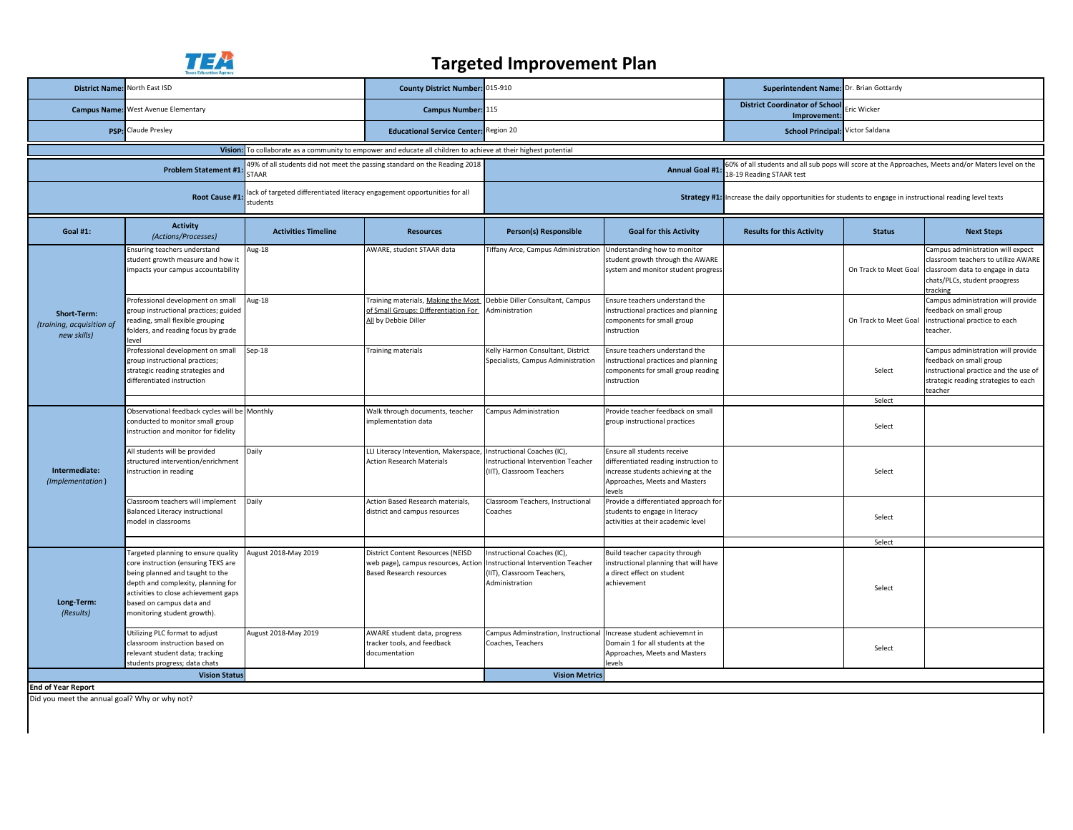

## **Targeted Improvement Plan**

| <b>District Name:</b>                                                                                                    | North East ISD                                                                                                                                                                                                                                         |                            | County District Number: 015-910                                                                                 |                                                                                                                                                          |                                                                                                                                                      | Superintendent Name: Dr. Brian Gottardy               |                                                                                                           |                                                                                                                                                           |  |
|--------------------------------------------------------------------------------------------------------------------------|--------------------------------------------------------------------------------------------------------------------------------------------------------------------------------------------------------------------------------------------------------|----------------------------|-----------------------------------------------------------------------------------------------------------------|----------------------------------------------------------------------------------------------------------------------------------------------------------|------------------------------------------------------------------------------------------------------------------------------------------------------|-------------------------------------------------------|-----------------------------------------------------------------------------------------------------------|-----------------------------------------------------------------------------------------------------------------------------------------------------------|--|
|                                                                                                                          | <b>Campus Name:</b> West Avenue Elementary                                                                                                                                                                                                             |                            | Campus Number: 115                                                                                              |                                                                                                                                                          |                                                                                                                                                      | <b>District Coordinator of School</b><br>Improvement: | ric Wicker                                                                                                |                                                                                                                                                           |  |
| PSP:                                                                                                                     | Claude Presley                                                                                                                                                                                                                                         |                            | <b>Educational Service Center:</b> Region 20                                                                    |                                                                                                                                                          |                                                                                                                                                      | School Principal: Victor Saldana                      |                                                                                                           |                                                                                                                                                           |  |
|                                                                                                                          |                                                                                                                                                                                                                                                        |                            | Vision: To collaborate as a community to empower and educate all children to achieve at their highest potential |                                                                                                                                                          |                                                                                                                                                      |                                                       |                                                                                                           |                                                                                                                                                           |  |
| 49% of all students did not meet the passing standard on the Reading 2018<br><b>Problem Statement #1</b><br><b>STAAR</b> |                                                                                                                                                                                                                                                        |                            |                                                                                                                 | 60% of all students and all sub pops will score at the Approaches, Meets and/or Maters level on the<br><b>Annual Goal #1</b><br>18-19 Reading STAAR test |                                                                                                                                                      |                                                       |                                                                                                           |                                                                                                                                                           |  |
| ack of targeted differentiated literacy engagement opportunities for all<br>Root Cause #1:<br>students                   |                                                                                                                                                                                                                                                        |                            |                                                                                                                 |                                                                                                                                                          |                                                                                                                                                      |                                                       | Strategy #1: Increase the daily opportunities for students to engage in instructional reading level texts |                                                                                                                                                           |  |
| <b>Goal #1:</b>                                                                                                          | <b>Activity</b><br>(Actions/Processes)                                                                                                                                                                                                                 | <b>Activities Timeline</b> | <b>Resources</b>                                                                                                | Person(s) Responsible                                                                                                                                    | <b>Goal for this Activity</b>                                                                                                                        | <b>Results for this Activity</b>                      | <b>Status</b>                                                                                             | <b>Next Steps</b>                                                                                                                                         |  |
| Short-Term:<br>(training, acquisition of<br>new skills)                                                                  | Ensuring teachers understand<br>student growth measure and how it<br>mpacts your campus accountability                                                                                                                                                 | Aug-18                     | AWARE, student STAAR data                                                                                       | <b>Tiffany Arce, Campus Administration</b>                                                                                                               | Understanding how to monitor<br>student growth through the AWARE<br>system and monitor student progress                                              |                                                       | On Track to Meet Goal                                                                                     | Campus administration will expect<br>classroom teachers to utilize AWARE<br>classroom data to engage in data<br>chats/PLCs, student praogress<br>tracking |  |
|                                                                                                                          | Professional development on small<br>group instructional practices; guided<br>reading, small flexible grouping<br>folders, and reading focus by grade<br>evel                                                                                          | Aug-18                     | Training materials, Making the Most<br>of Small Groups: Differentiation For<br>All by Debbie Diller             | Debbie Diller Consultant, Campus<br>Administration                                                                                                       | Ensure teachers understand the<br>instructional practices and planning<br>components for small group<br>instruction                                  |                                                       | On Track to Meet Goal                                                                                     | Campus administration will provide<br>feedback on small group<br>nstructional practice to each<br>teacher.                                                |  |
|                                                                                                                          | Professional development on small<br>group instructional practices;<br>strategic reading strategies and<br>differentiated instruction                                                                                                                  | Sep-18                     | Training materials                                                                                              | Kelly Harmon Consultant, District<br>Specialists, Campus Administration                                                                                  | Ensure teachers understand the<br>instructional practices and planning<br>components for small group reading<br>instruction                          |                                                       | Select                                                                                                    | Campus administration will provide<br>feedback on small group<br>instructional practice and the use of<br>strategic reading strategies to each<br>teacher |  |
|                                                                                                                          |                                                                                                                                                                                                                                                        |                            |                                                                                                                 |                                                                                                                                                          |                                                                                                                                                      |                                                       | Select                                                                                                    |                                                                                                                                                           |  |
| Intermediate:<br>(Implementation)                                                                                        | Observational feedback cycles will be Monthly<br>conducted to monitor small group<br>nstruction and monitor for fidelity                                                                                                                               |                            | Walk through documents, teacher<br>mplementation data                                                           | Campus Administration                                                                                                                                    | Provide teacher feedback on small<br>group instructional practices                                                                                   |                                                       | Select                                                                                                    |                                                                                                                                                           |  |
|                                                                                                                          | All students will be provided<br>structured intervention/enrichment<br>instruction in reading                                                                                                                                                          | Daily                      | LLI Literacy Intevention, Makerspace<br><b>Action Research Materials</b>                                        | Instructional Coaches (IC),<br>nstructional Intervention Teacher<br>IIT), Classroom Teachers                                                             | Ensure all students receive<br>differentiated reading instruction to<br>increase students achieving at the<br>Approaches, Meets and Masters<br>evels |                                                       | Select                                                                                                    |                                                                                                                                                           |  |
|                                                                                                                          | Classroom teachers will implement<br>Balanced Literacy instructional<br>model in classrooms                                                                                                                                                            | Daily                      | <b>Action Based Research materials</b><br>district and campus resources                                         | Classroom Teachers, Instructional<br>Coaches                                                                                                             | Provide a differentiated approach for<br>students to engage in literacy<br>activities at their academic level                                        |                                                       | Select                                                                                                    |                                                                                                                                                           |  |
|                                                                                                                          |                                                                                                                                                                                                                                                        |                            |                                                                                                                 |                                                                                                                                                          |                                                                                                                                                      |                                                       | Select                                                                                                    |                                                                                                                                                           |  |
| Long-Term:<br>(Results)                                                                                                  | Targeted planning to ensure quality<br>core instruction (ensuring TEKS are<br>being planned and taught to the<br>depth and complexity, planning for<br>activities to close achievement gaps<br>based on campus data and<br>monitoring student growth). | August 2018-May 2019       | District Content Resources (NEISD<br>web page), campus resources, Actior<br><b>Based Research resources</b>     | nstructional Coaches (IC),<br>nstructional Intervention Teacher<br>IIT), Classroom Teachers,<br>Administration                                           | Build teacher capacity through<br>instructional planning that will have<br>a direct effect on student<br>achievement                                 |                                                       | Select                                                                                                    |                                                                                                                                                           |  |
|                                                                                                                          | Utilizing PLC format to adjust<br>classroom instruction based on<br>relevant student data; tracking<br>students progress; data chats                                                                                                                   | August 2018-May 2019       | AWARE student data, progress<br>tracker tools, and feedback<br>documentation                                    | Campus Adminstration, Instructional<br>Coaches, Teachers                                                                                                 | Increase student achievemnt in<br>Domain 1 for all students at the<br>Approaches, Meets and Masters<br>evels                                         |                                                       | Select                                                                                                    |                                                                                                                                                           |  |
|                                                                                                                          | <b>Vision Status</b>                                                                                                                                                                                                                                   |                            |                                                                                                                 | <b>Vision Metrics</b>                                                                                                                                    |                                                                                                                                                      |                                                       |                                                                                                           |                                                                                                                                                           |  |
| <b>End of Year Report</b>                                                                                                |                                                                                                                                                                                                                                                        |                            |                                                                                                                 |                                                                                                                                                          |                                                                                                                                                      |                                                       |                                                                                                           |                                                                                                                                                           |  |
| Did you meet the annual goal? Why or why not?                                                                            |                                                                                                                                                                                                                                                        |                            |                                                                                                                 |                                                                                                                                                          |                                                                                                                                                      |                                                       |                                                                                                           |                                                                                                                                                           |  |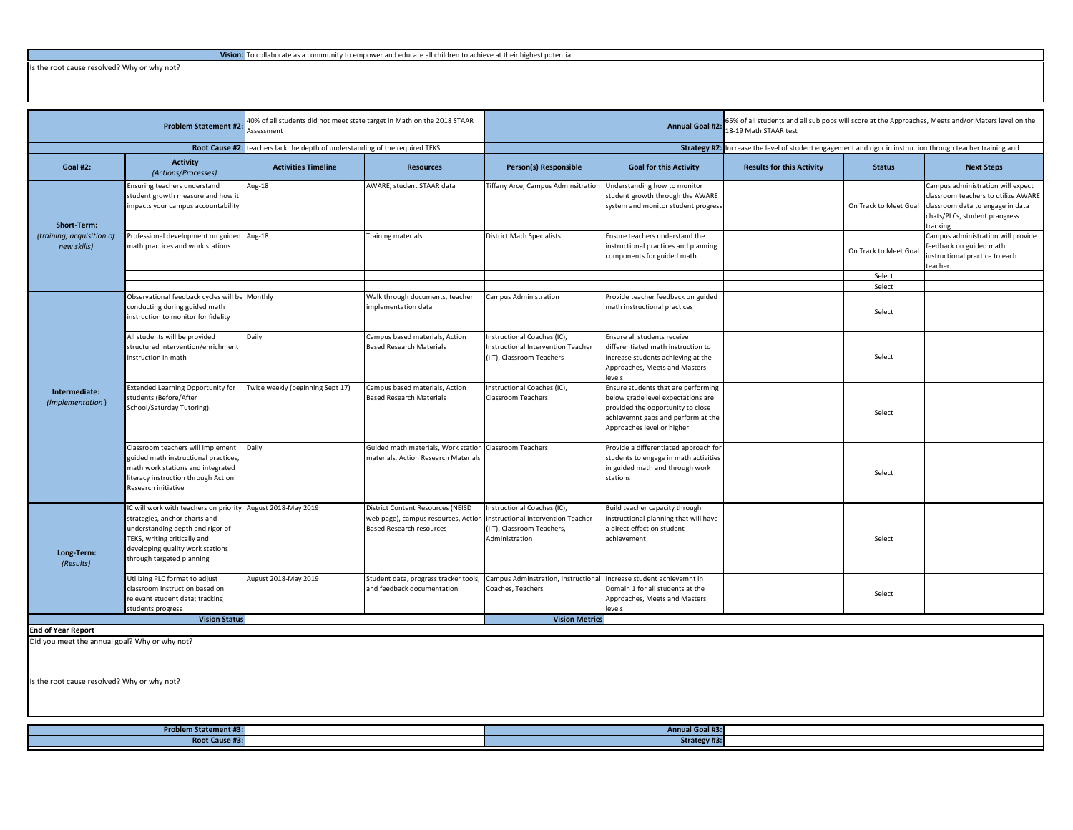Is the root cause resolved? Why or why not?

| <b>Problem Statement #2</b>                                    |                                                                                                                                                                                                                                   | 10% of all students did not meet state target in Math on the 2018 STAAR<br>Assessment |                                                                                                             | <b>Annual Goal #2:</b>                                                                                            |                                                                                                                                                                                    | 65% of all students and all sub pops will score at the Approaches, Meets and/or Maters level on the<br>18-19 Math STAAR test |                       |                                                                                                                                                           |
|----------------------------------------------------------------|-----------------------------------------------------------------------------------------------------------------------------------------------------------------------------------------------------------------------------------|---------------------------------------------------------------------------------------|-------------------------------------------------------------------------------------------------------------|-------------------------------------------------------------------------------------------------------------------|------------------------------------------------------------------------------------------------------------------------------------------------------------------------------------|------------------------------------------------------------------------------------------------------------------------------|-----------------------|-----------------------------------------------------------------------------------------------------------------------------------------------------------|
|                                                                |                                                                                                                                                                                                                                   | Root Cause #2: teachers lack the depth of understanding of the required TEKS          |                                                                                                             |                                                                                                                   | Strategy #2:                                                                                                                                                                       | Increase the level of student engagement and rigor in instruction through teacher training and                               |                       |                                                                                                                                                           |
| <b>Goal #2:</b>                                                | <b>Activity</b><br>(Actions/Processes)                                                                                                                                                                                            | <b>Activities Timeline</b>                                                            | <b>Resources</b>                                                                                            | Person(s) Responsible                                                                                             | <b>Goal for this Activity</b>                                                                                                                                                      | <b>Results for this Activity</b>                                                                                             | <b>Status</b>         | <b>Next Steps</b>                                                                                                                                         |
| <b>Short-Term:</b><br>(training, acquisition of<br>new skills) | Ensuring teachers understand<br>student growth measure and how it<br>impacts your campus accountability                                                                                                                           | Aug-18                                                                                | AWARE, student STAAR data                                                                                   | Tiffany Arce, Campus Adminsitration                                                                               | Understanding how to monitor<br>student growth through the AWARE<br>system and monitor student progress                                                                            |                                                                                                                              | On Track to Meet Goal | Campus administration will expect<br>classroom teachers to utilize AWARE<br>classroom data to engage in data<br>chats/PLCs, student praogress<br>tracking |
|                                                                | Professional development on guided Aug-18<br>nath practices and work stations                                                                                                                                                     |                                                                                       | <b>Training materials</b>                                                                                   | <b>District Math Specialists</b>                                                                                  | Ensure teachers understand the<br>instructional practices and planning<br>components for guided math                                                                               |                                                                                                                              | On Track to Meet Goal | Campus administration will provide<br>eedback on guided math<br>nstructional practice to each<br>teacher.                                                 |
|                                                                |                                                                                                                                                                                                                                   |                                                                                       |                                                                                                             |                                                                                                                   |                                                                                                                                                                                    |                                                                                                                              | Select                |                                                                                                                                                           |
|                                                                |                                                                                                                                                                                                                                   |                                                                                       |                                                                                                             |                                                                                                                   |                                                                                                                                                                                    |                                                                                                                              | Select                |                                                                                                                                                           |
| Intermediate:<br>(Implementation)                              | Observational feedback cycles will be Monthly<br>conducting during guided math<br>instruction to monitor for fidelity                                                                                                             |                                                                                       | Walk through documents, teacher<br>mplementation data                                                       | Campus Administration                                                                                             | Provide teacher feedback on guided<br>math instructional practices                                                                                                                 |                                                                                                                              | Select                |                                                                                                                                                           |
|                                                                | All students will be provided<br>structured intervention/enrichment<br>instruction in math                                                                                                                                        | Daily                                                                                 | Campus based materials, Action<br><b>Based Research Materials</b>                                           | Instructional Coaches (IC),<br>Instructional Intervention Teacher<br>(IIT), Classroom Teachers                    | Ensure all students receive<br>differentiated math instruction to<br>increase students achieving at the<br>Approaches, Meets and Masters<br>evels                                  |                                                                                                                              | Select                |                                                                                                                                                           |
|                                                                | <b>Extended Learning Opportunity for</b><br>students (Before/After<br>School/Saturday Tutoring).                                                                                                                                  | Twice weekly (beginning Sept 17)                                                      | Campus based materials, Action<br><b>Based Research Materials</b>                                           | Instructional Coaches (IC),<br><b>Classroom Teachers</b>                                                          | Ensure students that are performing<br>below grade level expectations are<br>provided the opportunity to close<br>achievemnt gaps and perform at the<br>Approaches level or higher |                                                                                                                              | Select                |                                                                                                                                                           |
|                                                                | Classroom teachers will implement<br>guided math instructional practices,<br>math work stations and integrated<br>literacy instruction through Action<br>Research initiative                                                      | Daily                                                                                 | Guided math materials, Work station<br>materials, Action Research Materials                                 | <b>Classroom Teachers</b>                                                                                         | Provide a differentiated approach for<br>students to engage in math activities<br>in guided math and through work<br>stations                                                      |                                                                                                                              | Select                |                                                                                                                                                           |
| Long-Term:<br>(Results)                                        | IC will work with teachers on priority August 2018-May 2019<br>strategies, anchor charts and<br>understanding depth and rigor of<br>TEKS, writing critically and<br>developing quality work stations<br>through targeted planning |                                                                                       | District Content Resources (NEISD<br>web page), campus resources, Action<br><b>Based Research resources</b> | Instructional Coaches (IC),<br>Instructional Intervention Teacher<br>(IIT), Classroom Teachers,<br>Administration | Build teacher capacity through<br>instructional planning that will have<br>a direct effect on student<br>achievement                                                               |                                                                                                                              | Select                |                                                                                                                                                           |
|                                                                | Utilizing PLC format to adjust<br>classroom instruction based on<br>relevant student data; tracking<br>students progress                                                                                                          | August 2018-May 2019                                                                  | Student data, progress tracker tools,<br>and feedback documentation                                         | Campus Adminstration, Instructional<br>Coaches, Teachers                                                          | Increase student achievemnt in<br>Domain 1 for all students at the<br>Approaches, Meets and Masters<br>evels                                                                       |                                                                                                                              | Select                |                                                                                                                                                           |
|                                                                | <b>Vision Status</b>                                                                                                                                                                                                              |                                                                                       |                                                                                                             | <b>Vision Metrics</b>                                                                                             |                                                                                                                                                                                    |                                                                                                                              |                       |                                                                                                                                                           |
| <b>End of Year Report</b>                                      |                                                                                                                                                                                                                                   |                                                                                       |                                                                                                             |                                                                                                                   |                                                                                                                                                                                    |                                                                                                                              |                       |                                                                                                                                                           |
|                                                                |                                                                                                                                                                                                                                   |                                                                                       |                                                                                                             |                                                                                                                   |                                                                                                                                                                                    |                                                                                                                              |                       |                                                                                                                                                           |
| Did you meet the annual goal? Why or why not?                  |                                                                                                                                                                                                                                   |                                                                                       |                                                                                                             |                                                                                                                   |                                                                                                                                                                                    |                                                                                                                              |                       |                                                                                                                                                           |

Is the root cause resolved? Why or why not?

| <b>Problem Statement #3:</b>         | .<br><b>Annual Goal</b> |  |
|--------------------------------------|-------------------------|--|
| <b>Dook Course</b> #1<br><b>NOUL</b> | <b>Strategy #</b><br>-- |  |